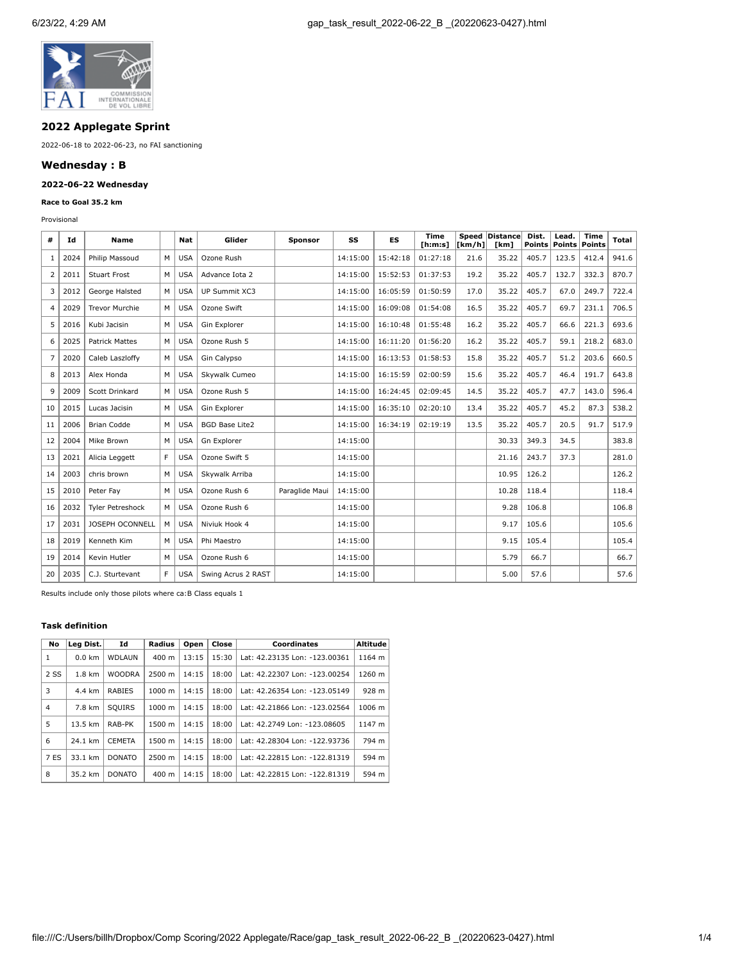

# **2022 Applegate Sprint**

2022-06-18 to 2022-06-23, no FAI sanctioning

## **Wednesday : B**

## **2022-06-22 Wednesday**

### **Race to Goal 35.2 km**

Provisional

| #  | Id   | <b>Name</b>           |    | Nat        | Glider                | <b>Sponsor</b> | SS       | <b>ES</b> | <b>Time</b><br>[ <b>h</b> : <b>m</b> : <b>s</b> ] | [km/h] | Speed Distance<br>[km] | Dist.<br>Points | Lead.<br><b>Points</b> | <b>Time</b><br>Points | Total |
|----|------|-----------------------|----|------------|-----------------------|----------------|----------|-----------|---------------------------------------------------|--------|------------------------|-----------------|------------------------|-----------------------|-------|
| 1  | 2024 | Philip Massoud        | М  | <b>USA</b> | Ozone Rush            |                | 14:15:00 | 15:42:18  | 01:27:18                                          | 21.6   | 35.22                  | 405.7           | 123.5                  | 412.4                 | 941.6 |
| 2  | 2011 | <b>Stuart Frost</b>   | M  | <b>USA</b> | Advance Iota 2        |                | 14:15:00 | 15:52:53  | 01:37:53                                          | 19.2   | 35.22                  | 405.7           | 132.7                  | 332.3                 | 870.7 |
| 3  | 2012 | George Halsted        | м  | <b>USA</b> | UP Summit XC3         |                | 14:15:00 | 16:05:59  | 01:50:59                                          | 17.0   | 35.22                  | 405.7           | 67.0                   | 249.7                 | 722.4 |
| 4  | 2029 | <b>Trevor Murchie</b> | м  | <b>USA</b> | Ozone Swift           |                | 14:15:00 | 16:09:08  | 01:54:08                                          | 16.5   | 35.22                  | 405.7           | 69.7                   | 231.1                 | 706.5 |
| 5  | 2016 | Kubi Jacisin          | М  | <b>USA</b> | Gin Explorer          |                | 14:15:00 | 16:10:48  | 01:55:48                                          | 16.2   | 35.22                  | 405.7           | 66.6                   | 221.3                 | 693.6 |
| 6  | 2025 | <b>Patrick Mattes</b> | м  | <b>USA</b> | Ozone Rush 5          |                | 14:15:00 | 16:11:20  | 01:56:20                                          | 16.2   | 35.22                  | 405.7           | 59.1                   | 218.2                 | 683.0 |
| 7  | 2020 | Caleb Laszloffy       | M  | <b>USA</b> | Gin Calypso           |                | 14:15:00 | 16:13:53  | 01:58:53                                          | 15.8   | 35.22                  | 405.7           | 51.2                   | 203.6                 | 660.5 |
| 8  | 2013 | Alex Honda            | м  | <b>USA</b> | Skywalk Cumeo         |                | 14:15:00 | 16:15:59  | 02:00:59                                          | 15.6   | 35.22                  | 405.7           | 46.4                   | 191.7                 | 643.8 |
| 9  | 2009 | Scott Drinkard        | М  | <b>USA</b> | Ozone Rush 5          |                | 14:15:00 | 16:24:45  | 02:09:45                                          | 14.5   | 35.22                  | 405.7           | 47.7                   | 143.0                 | 596.4 |
| 10 | 2015 | Lucas Jacisin         | M  | <b>USA</b> | Gin Explorer          |                | 14:15:00 | 16:35:10  | 02:20:10                                          | 13.4   | 35.22                  | 405.7           | 45.2                   | 87.3                  | 538.2 |
| 11 | 2006 | <b>Brian Codde</b>    | м  | <b>USA</b> | <b>BGD Base Lite2</b> |                | 14:15:00 | 16:34:19  | 02:19:19                                          | 13.5   | 35.22                  | 405.7           | 20.5                   | 91.7                  | 517.9 |
| 12 | 2004 | Mike Brown            | м  | <b>USA</b> | Gn Explorer           |                | 14:15:00 |           |                                                   |        | 30.33                  | 349.3           | 34.5                   |                       | 383.8 |
| 13 | 2021 | Alicia Leggett        | F. | <b>USA</b> | Ozone Swift 5         |                | 14:15:00 |           |                                                   |        | 21.16                  | 243.7           | 37.3                   |                       | 281.0 |
| 14 | 2003 | chris brown           | М  | <b>USA</b> | Skvwalk Arriba        |                | 14:15:00 |           |                                                   |        | 10.95                  | 126.2           |                        |                       | 126.2 |
| 15 | 2010 | Peter Fay             | М  | <b>USA</b> | Ozone Rush 6          | Paraglide Maui | 14:15:00 |           |                                                   |        | 10.28                  | 118.4           |                        |                       | 118.4 |
| 16 | 2032 | Tyler Petreshock      | м  | <b>USA</b> | Ozone Rush 6          |                | 14:15:00 |           |                                                   |        | 9.28                   | 106.8           |                        |                       | 106.8 |
| 17 | 2031 | JOSEPH OCONNELL       | M  | <b>USA</b> | Niviuk Hook 4         |                | 14:15:00 |           |                                                   |        | 9.17                   | 105.6           |                        |                       | 105.6 |
| 18 | 2019 | Kenneth Kim           | м  | <b>USA</b> | Phi Maestro           |                | 14:15:00 |           |                                                   |        | 9.15                   | 105.4           |                        |                       | 105.4 |
| 19 | 2014 | Kevin Hutler          | M  | <b>USA</b> | Ozone Rush 6          |                | 14:15:00 |           |                                                   |        | 5.79                   | 66.7            |                        |                       | 66.7  |
| 20 | 2035 | C.J. Sturtevant       | F. | <b>USA</b> | Swing Acrus 2 RAST    |                | 14:15:00 |           |                                                   |        | 5.00                   | 57.6            |                        |                       | 57.6  |

Results include only those pilots where ca:B Class equals 1

### **Task definition**

| No             | Lea Dist. | Id            | Radius             | Open  | Close | <b>Coordinates</b>            | <b>Altitude</b> |
|----------------|-----------|---------------|--------------------|-------|-------|-------------------------------|-----------------|
| 1              | $0.0$ km  | <b>WDLAUN</b> | $400 \text{ m}$    | 13:15 | 15:30 | Lat: 42.23135 Lon: -123.00361 | 1164 m          |
| 2 SS           | 1.8 km    | <b>WOODRA</b> | 2500 m             | 14:15 | 18:00 | Lat: 42.22307 Lon: -123.00254 | 1260 m          |
| 3              | 4.4 km    | <b>RABIES</b> | $1000 \; \text{m}$ | 14:15 | 18:00 | Lat: 42.26354 Lon: -123.05149 | 928 m           |
| $\overline{4}$ | 7.8 km    | SOUIRS        | $1000 \; m$        | 14:15 | 18:00 | Lat: 42.21866 Lon: -123.02564 | 1006 m          |
| 5              | 13.5 km   | RAB-PK        | 1500 m             | 14:15 | 18:00 | Lat: 42.2749 Lon: -123.08605  | 1147 m          |
| 6              | 24.1 km   | <b>CEMETA</b> | 1500 m             | 14:15 | 18:00 | Lat: 42.28304 Lon: -122.93736 | 794 m           |
| 7 ES           | 33.1 km   | <b>DONATO</b> | 2500 m             | 14:15 | 18:00 | Lat: 42.22815 Lon: -122.81319 | 594 m           |
| 8              | 35.2 km   | <b>DONATO</b> | $400 \text{ m}$    | 14:15 | 18:00 | Lat: 42.22815 Lon: -122.81319 | 594 m           |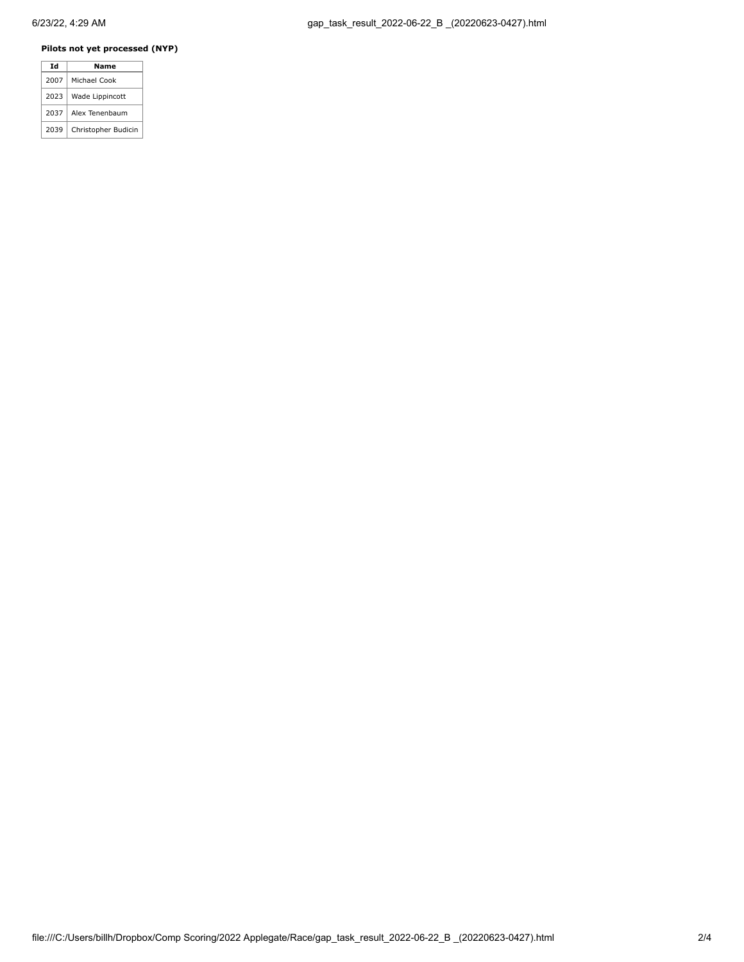# **Pilots not yet processed (NYP)**

|  | Td   | Name                |  |  |  |  |
|--|------|---------------------|--|--|--|--|
|  | 2007 | Michael Cook        |  |  |  |  |
|  | 2023 | Wade Lippincott     |  |  |  |  |
|  | 2037 | Alex Tenenbaum      |  |  |  |  |
|  | 2039 | Christopher Budicin |  |  |  |  |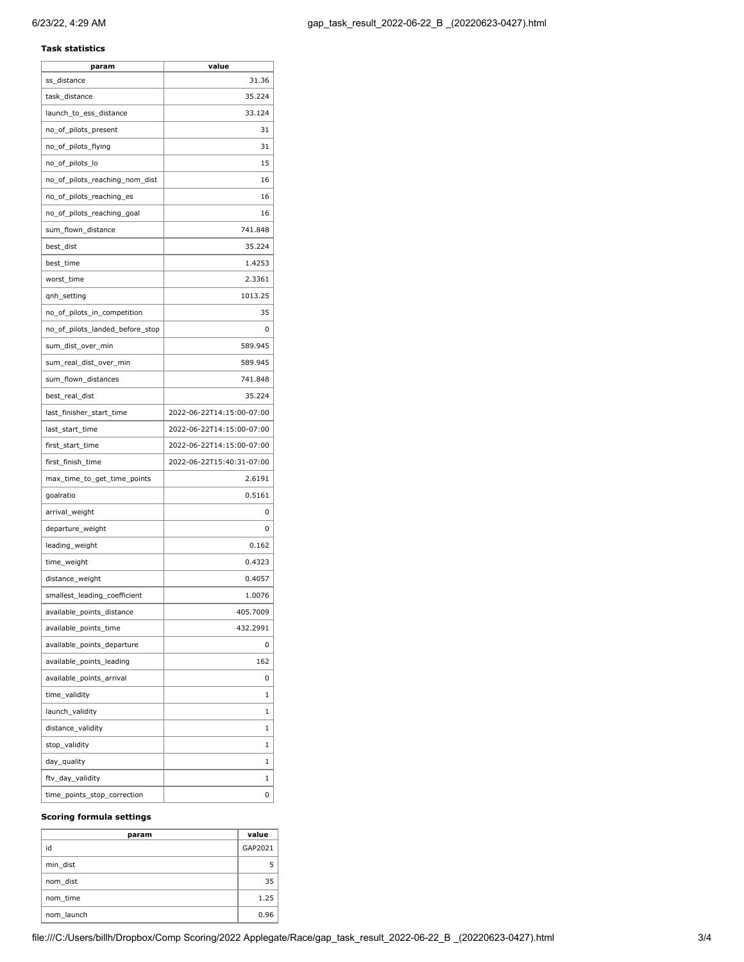## **Task statistics**

| param                           | value                     |
|---------------------------------|---------------------------|
| ss_distance                     | 31.36                     |
| task_distance                   | 35.224                    |
| launch_to_ess_distance          | 33.124                    |
| no_of_pilots_present            | 31                        |
| no_of_pilots_flying             | 31                        |
| no_of_pilots_lo                 | 15                        |
| no_of_pilots_reaching_nom_dist  | 16                        |
| no_of_pilots_reaching_es        | 16                        |
| no of pilots reaching goal      | 16                        |
| sum_flown_distance              | 741.848                   |
| best_dist                       | 35.224                    |
| best_time                       | 1.4253                    |
| worst_time                      | 2.3361                    |
| qnh_setting                     | 1013.25                   |
| no_of_pilots_in_competition     | 35                        |
| no_of_pilots_landed_before_stop | 0                         |
| sum_dist_over_min               | 589.945                   |
| sum_real_dist_over_min          | 589.945                   |
| sum_flown_distances             | 741.848                   |
| best_real_dist                  | 35.224                    |
| last_finisher_start_time        | 2022-06-22T14:15:00-07:00 |
| last_start_time                 | 2022-06-22T14:15:00-07:00 |
| first_start_time                | 2022-06-22T14:15:00-07:00 |
| first_finish_time               | 2022-06-22T15:40:31-07:00 |
| max_time_to_get_time_points     | 2.6191                    |
| goalratio                       | 0.5161                    |
| arrival_weight                  | 0                         |
| departure_weight                | 0                         |
| leading_weight                  | 0.162                     |
| time_weight                     | 0.4323                    |
| distance_weight                 | 0.4057                    |
| smallest_leading_coefficient    | 1.0076                    |
| available_points_distance       | 405.7009                  |
| available_points_time           | 432.2991                  |
| available_points_departure      | 0                         |
| available_points_leading        | 162                       |
| available_points_arrival        | 0                         |
| time_validity                   | 1                         |
| launch_validity                 | 1                         |
| distance_validity               | 1                         |
| stop_validity                   | 1                         |
| day_quality                     | 1                         |
| ftv_day_validity                | 1                         |
| time_points_stop_correction     | 0                         |

#### **Scoring formula settings**

| param      | value   |
|------------|---------|
| id         | GAP2021 |
| min dist   |         |
| nom dist   | 35      |
| nom time   | 1.25    |
| nom launch | 0.96    |